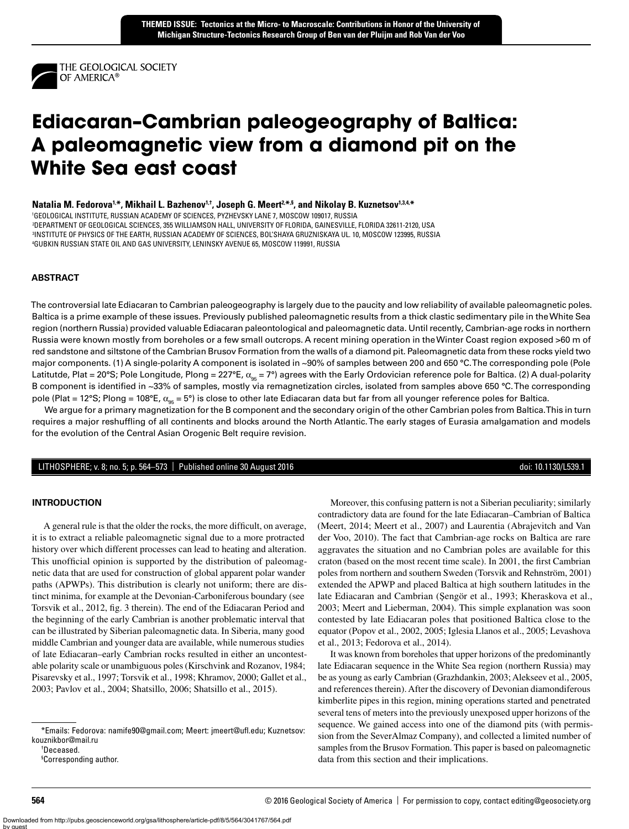

# **Ediacaran–Cambrian paleogeography of Baltica: A paleomagnetic view from a diamond pit on the White Sea east coast**

Natalia M. Fedorova<sup>1,\*</sup>, Mikhail L. Bazhenov<sup>1,†</sup>, Joseph G. Meert<sup>2,\*,§</sup>, and Nikolay B. Kuznetsov<sup>1,3,4,\*</sup>

1 GEOLOGICAL INSTITUTE, RUSSIAN ACADEMY OF SCIENCES, PYZHEVSKY LANE 7, MOSCOW 109017, RUSSIA

2 DEPARTMENT OF GEOLOGICAL SCIENCES, 355 WILLIAMSON HALL, UNIVERSITY OF FLORIDA, GAINESVILLE, FLORIDA 32611-2120, USA 3 INSTITUTE OF PHYSICS OF THE EARTH, RUSSIAN ACADEMY OF SCIENCES, BOL'SHAYA GRUZNISKAYA UL. 10, MOSCOW 123995, RUSSIA 4 GUBKIN RUSSIAN STATE OIL AND GAS UNIVERSITY, LENINSKY AVENUE 65, MOSCOW 119991, RUSSIA

# **ABSTRACT**

The controversial late Ediacaran to Cambrian paleogeography is largely due to the paucity and low reliability of available paleomagnetic poles. Baltica is a prime example of these issues. Previously published paleomagnetic results from a thick clastic sedimentary pile in the White Sea region (northern Russia) provided valuable Ediacaran paleontological and paleomagnetic data. Until recently, Cambrian-age rocks in northern Russia were known mostly from boreholes or a few small outcrops. A recent mining operation in the Winter Coast region exposed >60 m of red sandstone and siltstone of the Cambrian Brusov Formation from the walls of a diamond pit. Paleomagnetic data from these rocks yield two major components. (1) A single-polarity A component is isolated in ~90% of samples between 200 and 650 °C. The corresponding pole (Pole Latitutde, Plat = 20°S; Pole Longitude, Plong = 227°E,  $\alpha_{95}$  = 7°) agrees with the Early Ordovician reference pole for Baltica. (2) A dual-polarity B component is identified in ~33% of samples, mostly via remagnetization circles, isolated from samples above 650 °C. The corresponding pole (Plat = 12°S; Plong = 108°E,  $\alpha_{95}$  = 5°) is close to other late Ediacaran data but far from all younger reference poles for Baltica.

We argue for a primary magnetization for the B component and the secondary origin of the other Cambrian poles from Baltica. This in turn requires a major reshuffling of all continents and blocks around the North Atlantic. The early stages of Eurasia amalgamation and models for the evolution of the Central Asian Orogenic Belt require revision.

### LITHOSPHERE; v. 8; no. 5; p. 564–573 | Published online 30 August 2016 doi: 10.1130/L539.1

### **INTRODUCTION**

A general rule is that the older the rocks, the more difficult, on average, it is to extract a reliable paleomagnetic signal due to a more protracted history over which different processes can lead to heating and alteration. This unofficial opinion is supported by the distribution of paleomagnetic data that are used for construction of global apparent polar wander paths (APWPs). This distribution is clearly not uniform; there are distinct minima, for example at the Devonian-Carboniferous boundary (see Torsvik et al., 2012, fig. 3 therein). The end of the Ediacaran Period and the beginning of the early Cambrian is another problematic interval that can be illustrated by Siberian paleomagnetic data. In Siberia, many good middle Cambrian and younger data are available, while numerous studies of late Ediacaran–early Cambrian rocks resulted in either an uncontestable polarity scale or unambiguous poles (Kirschvink and Rozanov, 1984; Pisarevsky et al., 1997; Torsvik et al., 1998; Khramov, 2000; Gallet et al., 2003; Pavlov et al., 2004; Shatsillo, 2006; Shatsillo et al., 2015).

† Deceased.

Moreover, this confusing pattern is not a Siberian peculiarity; similarly contradictory data are found for the late Ediacaran–Cambrian of Baltica (Meert, 2014; Meert et al., 2007) and Laurentia (Abrajevitch and Van der Voo, 2010). The fact that Cambrian-age rocks on Baltica are rare aggravates the situation and no Cambrian poles are available for this craton (based on the most recent time scale). In 2001, the first Cambrian poles from northern and southern Sweden (Torsvik and Rehnström, 2001) extended the APWP and placed Baltica at high southern latitudes in the late Ediacaran and Cambrian (Şengör et al., 1993; Kheraskova et al., 2003; Meert and Lieberman, 2004). This simple explanation was soon contested by late Ediacaran poles that positioned Baltica close to the equator (Popov et al., 2002, 2005; Iglesia Llanos et al., 2005; Levashova et al., 2013; Fedorova et al., 2014).

It was known from boreholes that upper horizons of the predominantly late Ediacaran sequence in the White Sea region (northern Russia) may be as young as early Cambrian (Grazhdankin, 2003; Alekseev et al., 2005, and references therein). After the discovery of Devonian diamondiferous kimberlite pipes in this region, mining operations started and penetrated several tens of meters into the previously unexposed upper horizons of the sequence. We gained access into one of the diamond pits (with permission from the SeverAlmaz Company), and collected a limited number of samples from the Brusov Formation. This paper is based on paleomagnetic data from this section and their implications. %Emails: Fedorova: namife90@gmail.com; Meert: jmeert@ufl.edu; Kuznetsov:<br>2016 Geological Society of America | For permission to copy, contact editing@geosociety.org\*<br>19 cresponding author.<br>19 cresponding author.<br>2016 Geo

kouznikbor@mail.ru

<sup>§</sup> Corresponding author.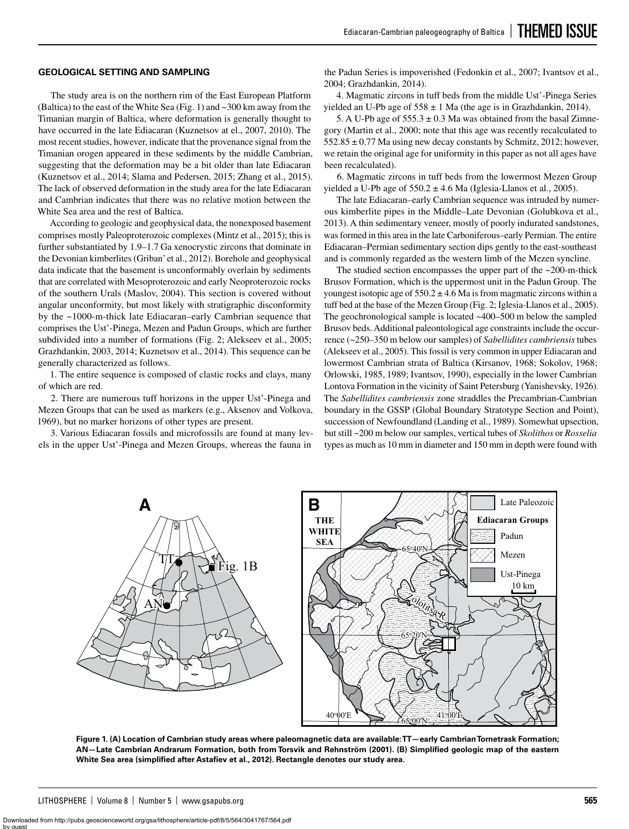### **GEOLOGICAL SETTING AND SAMPLING**

The study area is on the northern rim of the East European Platform (Baltica) to the east of the White Sea (Fig. 1) and ~300 km away from the Timanian margin of Baltica, where deformation is generally thought to have occurred in the late Ediacaran (Kuznetsov at el., 2007, 2010). The most recent studies, however, indicate that the provenance signal from the Timanian orogen appeared in these sediments by the middle Cambrian, suggesting that the deformation may be a bit older than late Ediacaran (Kuznetsov et al., 2014; Slama and Pedersen, 2015; Zhang et al., 2015). The lack of observed deformation in the study area for the late Ediacaran and Cambrian indicates that there was no relative motion between the White Sea area and the rest of Baltica.

According to geologic and geophysical data, the nonexposed basement comprises mostly Paleoproterozoic complexes (Mintz et al., 2015); this is further substantiated by 1.9–1.7 Ga xenocrystic zircons that dominate in the Devonian kimberlites (Griban' et al., 2012). Borehole and geophysical data indicate that the basement is unconformably overlain by sediments that are correlated with Mesoproterozoic and early Neoproterozoic rocks of the southern Urals (Maslov, 2004). This section is covered without angular unconformity, but most likely with stratigraphic disconformity by the ~1000-m-thick late Ediacaran–early Cambrian sequence that comprises the Ust'-Pinega, Mezen and Padun Groups, which are further subdivided into a number of formations (Fig. 2; Alekseev et al., 2005; Grazhdankin, 2003, 2014; Kuznetsov et al., 2014). This sequence can be generally characterized as follows.

1. The entire sequence is composed of clastic rocks and clays, many of which are red.

2. There are numerous tuff horizons in the upper Ust'-Pinega and Mezen Groups that can be used as markers (e.g., Aksenov and Volkova, 1969), but no marker horizons of other types are present.

3. Various Ediacaran fossils and microfossils are found at many levels in the upper Ust'-Pinega and Mezen Groups, whereas the fauna in

the Padun Series is impoverished (Fedonkin et al., 2007; Ivantsov et al., 2004; Grazhdankin, 2014).

4. Magmatic zircons in tuff beds from the middle Ust'-Pinega Series yielded an U-Pb age of  $558 \pm 1$  Ma (the age is in Grazhdankin, 2014).

5. A U-Pb age of  $555.3 \pm 0.3$  Ma was obtained from the basal Zimnegory (Martin et al., 2000; note that this age was recently recalculated to  $552.85 \pm 0.77$  Ma using new decay constants by Schmitz, 2012; however, we retain the original age for uniformity in this paper as not all ages have been recalculated).

6. Magmatic zircons in tuff beds from the lowermost Mezen Group yielded a U-Pb age of  $550.2 \pm 4.6$  Ma (Iglesia-Llanos et al., 2005).

The late Ediacaran–early Cambrian sequence was intruded by numerous kimberlite pipes in the Middle–Late Devonian (Golubkova et al., 2013). A thin sedimentary veneer, mostly of poorly indurated sandstones, was formed in this area in the late Carboniferous–early Permian. The entire Ediacaran–Permian sedimentary section dips gently to the east-southeast and is commonly regarded as the western limb of the Mezen syncline.

The studied section encompasses the upper part of the  $\sim$ 200-m-thick Brusov Formation, which is the uppermost unit in the Padun Group. The youngest isotopic age of  $550.2 \pm 4.6$  Ma is from magmatic zircons within a tuff bed at the base of the Mezen Group (Fig. 2; Iglesia-Llanos et al., 2005). The geochronological sample is located ~400–500 m below the sampled Brusov beds. Additional paleontological age constraints include the occurrence (~250–350 m below our samples) of *Sabellidites cambriensis* tubes (Alekseev et al., 2005). This fossil is very common in upper Ediacaran and lowermost Cambrian strata of Baltica (Kirsanov, 1968; Sokolov, 1968; Orlowski, 1985, 1989; Ivantsov, 1990), especially in the lower Cambrian Lontova Formation in the vicinity of Saint Petersburg (Yanishevsky, 1926). The *Sabellidites cambriensis* zone straddles the Precambrian-Cambrian boundary in the GSSP (Global Boundary Stratotype Section and Point), succession of Newfoundland (Landing et al., 1989). Somewhat upsection, but still ~200 m below our samples, vertical tubes of *Skolithos* or *Rosselia* types as much as 10 mm in diameter and 150 mm in depth were found with



**Figure 1. (A) Location of Cambrian study areas where paleomagnetic data are available: TT—early Cambrian Tornetrask Formation; AN—Late Cambrian Andrarum Formation, both from Torsvik and Rehnström (2001). (B) Simplified geologic map of the eastern White Sea area (simplified after Astafiev et al., 2012). Rectangle denotes our study area.**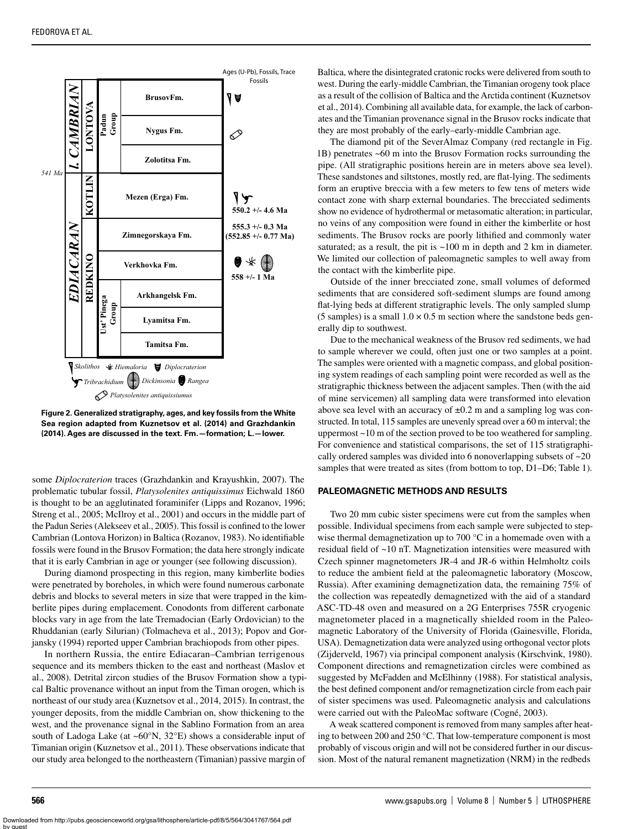

**Figure 2. Generalized stratigraphy, ages, and key fossils from the White Sea region adapted from Kuznetsov et al. (2014) and Grazhdankin (2014). Ages are discussed in the text. Fm.—formation; L.—lower.**

some *Diplocraterion* traces (Grazhdankin and Krayushkin, 2007). The problematic tubular fossil, *Platysolenites antiquissimus* Eichwald 1860 is thought to be an agglutinated foraminifer (Lipps and Rozanov, 1996; Streng et al., 2005; McIlroy et al., 2001) and occurs in the middle part of the Padun Series (Alekseev et al., 2005). This fossil is confined to the lower Cambrian (Lontova Horizon) in Baltica (Rozanov, 1983). No identifiable fossils were found in the Brusov Formation; the data here strongly indicate that it is early Cambrian in age or younger (see following discussion).

During diamond prospecting in this region, many kimberlite bodies were penetrated by boreholes, in which were found numerous carbonate debris and blocks to several meters in size that were trapped in the kimberlite pipes during emplacement. Conodonts from different carbonate blocks vary in age from the late Tremadocian (Early Ordovician) to the Rhuddanian (early Silurian) (Tolmacheva et al., 2013); Popov and Gorjansky (1994) reported upper Cambrian brachiopods from other pipes.

In northern Russia, the entire Ediacaran–Cambrian terrigenous sequence and its members thicken to the east and northeast (Maslov et al., 2008). Detrital zircon studies of the Brusov Formation show a typical Baltic provenance without an input from the Timan orogen, which is northeast of our study area (Kuznetsov et al., 2014, 2015). In contrast, the younger deposits, from the middle Cambrian on, show thickening to the west, and the provenance signal in the Sablino Formation from an area south of Ladoga Lake (at ~60°N, 32°E) shows a considerable input of Timanian origin (Kuznetsov et al., 2011). These observations indicate that our study area belonged to the northeastern (Timanian) passive margin of

Baltica, where the disintegrated cratonic rocks were delivered from south to west. During the early-middle Cambrian, the Timanian orogeny took place as a result of the collision of Baltica and the Arctida continent (Kuznetsov et al., 2014). Combining all available data, for example, the lack of carbonates and the Timanian provenance signal in the Brusov rocks indicate that they are most probably of the early–early-middle Cambrian age.

The diamond pit of the SeverAlmaz Company (red rectangle in Fig. 1B) penetrates ~60 m into the Brusov Formation rocks surrounding the pipe. (All stratigraphic positions herein are in meters above sea level). These sandstones and siltstones, mostly red, are flat-lying. The sediments form an eruptive breccia with a few meters to few tens of meters wide contact zone with sharp external boundaries. The brecciated sediments show no evidence of hydrothermal or metasomatic alteration; in particular, no veins of any composition were found in either the kimberlite or host sediments. The Brusov rocks are poorly lithified and commonly water saturated; as a result, the pit is ~100 m in depth and 2 km in diameter. We limited our collection of paleomagnetic samples to well away from the contact with the kimberlite pipe.

Outside of the inner brecciated zone, small volumes of deformed sediments that are considered soft-sediment slumps are found among flat-lying beds at different stratigraphic levels. The only sampled slump (5 samples) is a small  $1.0 \times 0.5$  m section where the sandstone beds generally dip to southwest.

Due to the mechanical weakness of the Brusov red sediments, we had to sample wherever we could, often just one or two samples at a point. The samples were oriented with a magnetic compass, and global positioning system readings of each sampling point were recorded as well as the stratigraphic thickness between the adjacent samples. Then (with the aid of mine servicemen) all sampling data were transformed into elevation above sea level with an accuracy of  $\pm 0.2$  m and a sampling log was constructed. In total, 115 samples are unevenly spread over a 60 m interval; the uppermost ~10 m of the section proved to be too weathered for sampling. For convenience and statistical comparisons, the set of 115 stratigraphically ordered samples was divided into 6 nonoverlapping subsets of ~20 samples that were treated as sites (from bottom to top, D1–D6; Table 1).

#### **PALEOMAGNETIC METHODS AND RESULTS**

Two 20 mm cubic sister specimens were cut from the samples when possible. Individual specimens from each sample were subjected to stepwise thermal demagnetization up to 700 °C in a homemade oven with a residual field of ~10 nT. Magnetization intensities were measured with Czech spinner magnetometers JR-4 and JR-6 within Helmholtz coils to reduce the ambient field at the paleomagnetic laboratory (Moscow, Russia). After examining demagnetization data, the remaining 75% of the collection was repeatedly demagnetized with the aid of a standard ASC-TD-48 oven and measured on a 2G Enterprises 755R cryogenic magnetometer placed in a magnetically shielded room in the Paleomagnetic Laboratory of the University of Florida (Gainesville, Florida, USA). Demagnetization data were analyzed using orthogonal vector plots (Zijderveld, 1967) via principal component analysis (Kirschvink, 1980). Component directions and remagnetization circles were combined as suggested by McFadden and McElhinny (1988). For statistical analysis, the best defined component and/or remagnetization circle from each pair of sister specimens was used. Paleomagnetic analysis and calculations were carried out with the PaleoMac software (Cogné, 2003).

A weak scattered component is removed from many samples after heating to between 200 and 250 °C. That low-temperature component is most probably of viscous origin and will not be considered further in our discussion. Most of the natural remanent magnetization (NRM) in the redbeds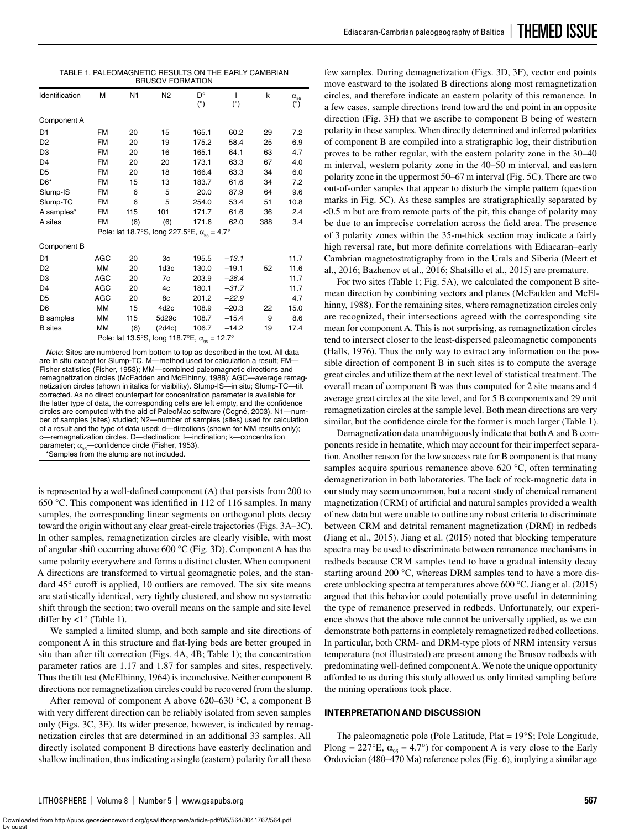| TABLE 1. PALEOMAGNETIC RESULTS ON THE EARLY CAMBRIAN |
|------------------------------------------------------|
| <b>BRUSOV FORMATION</b>                              |

| Identification                                            | М          | N <sub>1</sub> | N <sub>2</sub>   | D°         | ı       | k   | $\alpha_{95}$ |  |
|-----------------------------------------------------------|------------|----------------|------------------|------------|---------|-----|---------------|--|
|                                                           |            |                |                  | $(^\circ)$ | (°)     |     | (°)           |  |
| Component A                                               |            |                |                  |            |         |     |               |  |
| D <sub>1</sub>                                            | <b>FM</b>  | 20             | 15               | 165.1      | 60.2    | 29  | 7.2           |  |
| D <sub>2</sub>                                            | <b>FM</b>  | 20             | 19               | 175.2      | 58.4    | 25  | 6.9           |  |
| D <sub>3</sub>                                            | <b>FM</b>  | 20             | 16               | 165.1      | 64.1    | 63  | 4.7           |  |
| D <sub>4</sub>                                            | <b>FM</b>  | 20             | 20               | 173.1      | 63.3    | 67  | 4.0           |  |
| D <sub>5</sub>                                            | <b>FM</b>  | 20             | 18               | 166.4      | 63.3    | 34  | 6.0           |  |
| D <sub>6</sub> *                                          | <b>FM</b>  | 15             | 13               | 183.7      | 61.6    | 34  | 7.2           |  |
| Slump-IS                                                  | <b>FM</b>  | 6              | 5                | 20.0       | 87.9    | 64  | 9.6           |  |
| Slump-TC                                                  | <b>FM</b>  | 6              | 5                | 254.0      | 53.4    | 51  | 10.8          |  |
| A samples*                                                | <b>FM</b>  | 115            | 101              | 171.7      | 61.6    | 36  | 2.4           |  |
| A sites                                                   | <b>FM</b>  | (6)            | (6)              | 171.6      | 62.0    | 388 | 3.4           |  |
| Pole: lat 18.7°S, long 227.5°E, $\alpha_{\rm os} = 4.7$ ° |            |                |                  |            |         |     |               |  |
| Component B                                               |            |                |                  |            |         |     |               |  |
| D <sub>1</sub>                                            | <b>AGC</b> | 20             | 3c               | 195.5      | $-13.1$ |     | 11.7          |  |
| D <sub>2</sub>                                            | <b>MM</b>  | 20             | 1 <sub>d3c</sub> | 130.0      | $-19.1$ | 52  | 11.6          |  |
| D <sub>3</sub>                                            | AGC        | 20             | 7c               | 203.9      | $-26.4$ |     | 11.7          |  |
| D <sub>4</sub>                                            | <b>AGC</b> | 20             | 4c               | 180.1      | $-31.7$ |     | 11.7          |  |
| D <sub>5</sub>                                            | <b>AGC</b> | 20             | 8c               | 201.2      | $-22.9$ |     | 4.7           |  |
| D <sub>6</sub>                                            | <b>MM</b>  | 15             | 4d <sub>2c</sub> | 108.9      | $-20.3$ | 22  | 15.0          |  |
| <b>B</b> samples                                          | MM         | 115            | 5d29c            | 108.7      | $-15.4$ | 9   | 8.6           |  |
| <b>B</b> sites                                            | MM         | (6)            | (2ddc)           | 106.7      | $-14.2$ | 19  | 17.4          |  |
| Pole: lat 13.5°S, long 118.7°E, $\alpha_{95} = 12.7$ °    |            |                |                  |            |         |     |               |  |

*Note*: Sites are numbered from bottom to top as described in the text. All data are in situ except for Slump-TC. M—method used for calculation a result; FM— Fisher statistics (Fisher, 1953); MM—combined paleomagnetic directions and remagnetization circles (McFadden and McElhinny, 1988); AGC—average remagnetization circles (shown in italics for visibility). Slump-IS—in situ; Slump-TC—tilt corrected. As no direct counterpart for concentration parameter is available for the latter type of data, the corresponding cells are left empty, and the confidence circles are computed with the aid of PaleoMac software (Cogné, 2003). N1—number of samples (sites) studied; N2—number of samples (sites) used for calculation of a result and the type of data used: d—directions (shown for MM results only); c—remagnetization circles. D—declination; I—inclination; k—concentration parameter;  $\alpha_{\text{os}}$ —confidence circle (Fisher, 1953).

\*Samples from the slump are not included.

is represented by a well-defined component (A) that persists from 200 to 650 °C. This component was identified in 112 of 116 samples. In many samples, the corresponding linear segments on orthogonal plots decay toward the origin without any clear great-circle trajectories (Figs. 3A–3C). In other samples, remagnetization circles are clearly visible, with most of angular shift occurring above 600 °C (Fig. 3D). Component A has the same polarity everywhere and forms a distinct cluster. When component A directions are transformed to virtual geomagnetic poles, and the standard 45° cutoff is applied, 10 outliers are removed. The six site means are statistically identical, very tightly clustered, and show no systematic shift through the section; two overall means on the sample and site level differ by  $\langle 1^\circ$  (Table 1).

We sampled a limited slump, and both sample and site directions of component A in this structure and flat-lying beds are better grouped in situ than after tilt correction (Figs. 4A, 4B; Table 1); the concentration parameter ratios are 1.17 and 1.87 for samples and sites, respectively. Thus the tilt test (McElhinny, 1964) is inconclusive. Neither component B directions nor remagnetization circles could be recovered from the slump.

After removal of component A above 620–630 °C, a component B with very different direction can be reliably isolated from seven samples only (Figs. 3C, 3E). Its wider presence, however, is indicated by remagnetization circles that are determined in an additional 33 samples. All directly isolated component B directions have easterly declination and shallow inclination, thus indicating a single (eastern) polarity for all these

few samples. During demagnetization (Figs. 3D, 3F), vector end points move eastward to the isolated B directions along most remagnetization circles, and therefore indicate an eastern polarity of this remanence. In a few cases, sample directions trend toward the end point in an opposite direction (Fig. 3H) that we ascribe to component B being of western polarity in these samples. When directly determined and inferred polarities of component B are compiled into a stratigraphic log, their distribution proves to be rather regular, with the eastern polarity zone in the 30–40 m interval, western polarity zone in the 40–50 m interval, and eastern polarity zone in the uppermost 50–67 m interval (Fig. 5C). There are two out-of-order samples that appear to disturb the simple pattern (question marks in Fig. 5C). As these samples are stratigraphically separated by <0.5 m but are from remote parts of the pit, this change of polarity may be due to an imprecise correlation across the field area. The presence of 3 polarity zones within the 35-m-thick section may indicate a fairly high reversal rate, but more definite correlations with Ediacaran–early Cambrian magnetostratigraphy from in the Urals and Siberia (Meert et al., 2016; Bazhenov et al., 2016; Shatsillo et al., 2015) are premature.

For two sites (Table 1; Fig. 5A), we calculated the component B sitemean direction by combining vectors and planes (McFadden and McElhinny, 1988). For the remaining sites, where remagnetization circles only are recognized, their intersections agreed with the corresponding site mean for component A. This is not surprising, as remagnetization circles tend to intersect closer to the least-dispersed paleomagnetic components (Halls, 1976). Thus the only way to extract any information on the possible direction of component B in such sites is to compute the average great circles and utilize them at the next level of statistical treatment. The overall mean of component B was thus computed for 2 site means and 4 average great circles at the site level, and for 5 B components and 29 unit remagnetization circles at the sample level. Both mean directions are very similar, but the confidence circle for the former is much larger (Table 1).

Demagnetization data unambiguously indicate that both A and B components reside in hematite, which may account for their imperfect separation. Another reason for the low success rate for B component is that many samples acquire spurious remanence above 620 °C, often terminating demagnetization in both laboratories. The lack of rock-magnetic data in our study may seem uncommon, but a recent study of chemical remanent magnetization (CRM) of artificial and natural samples provided a wealth of new data but were unable to outline any robust criteria to discriminate between CRM and detrital remanent magnetization (DRM) in redbeds (Jiang et al., 2015). Jiang et al. (2015) noted that blocking temperature spectra may be used to discriminate between remanence mechanisms in redbeds because CRM samples tend to have a gradual intensity decay starting around 200 °C, whereas DRM samples tend to have a more discrete unblocking spectra at temperatures above 600 °C. Jiang et al. (2015) argued that this behavior could potentially prove useful in determining the type of remanence preserved in redbeds. Unfortunately, our experience shows that the above rule cannot be universally applied, as we can demonstrate both patterns in completely remagnetized redbed collections. In particular, both CRM- and DRM-type plots of NRM intensity versus temperature (not illustrated) are present among the Brusov redbeds with predominating well-defined component A. We note the unique opportunity afforded to us during this study allowed us only limited sampling before the mining operations took place.

# **INTERPRETATION AND DISCUSSION**

The paleomagnetic pole (Pole Latitude, Plat = 19°S; Pole Longitude, Plong = 227°E,  $\alpha_{0.5}$  = 4.7°) for component A is very close to the Early Ordovician (480–470 Ma) reference poles (Fig. 6), implying a similar age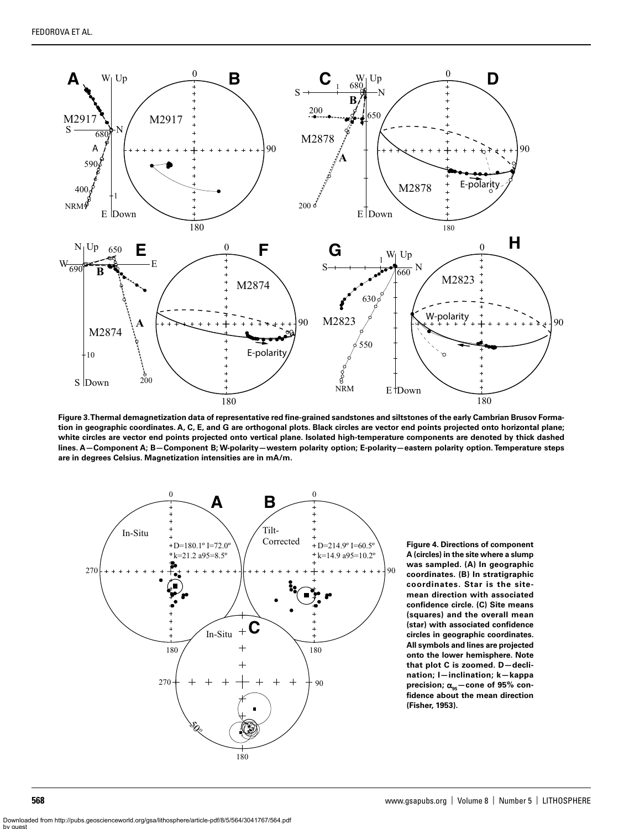

**Figure 3. Thermal demagnetization data of representative red fine-grained sandstones and siltstones of the early Cambrian Brusov Formation in geographic coordinates. A, C, E, and G are orthogonal plots. Black circles are vector end points projected onto horizontal plane; white circles are vector end points projected onto vertical plane. Isolated high-temperature components are denoted by thick dashed lines. A—Component A; B—Component B; W-polarity—western polarity option; E-polarity—eastern polarity option. Temperature steps are in degrees Celsius. Magnetization intensities are in mA/m.**



**Figure 4. Directions of component A (circles) in the site where a slump was sampled. (A) In geographic coordinates. (B) In stratigraphic coordinates. Star is the sitemean direction with associated confidence circle. (C) Site means (squares) and the overall mean (star) with associated confidence circles in geographic coordinates. All symbols and lines are projected onto the lower hemisphere. Note that plot C is zoomed. D—declination; I—inclination; k—kappa**  precision;  $α_{95}$  - cone of 95% con**fidence about the mean direction (Fisher, 1953).**

Downloaded from http://pubs.geoscienceworld.org/gsa/lithosphere/article-pdf/8/5/564/3041767/564.pdf by guest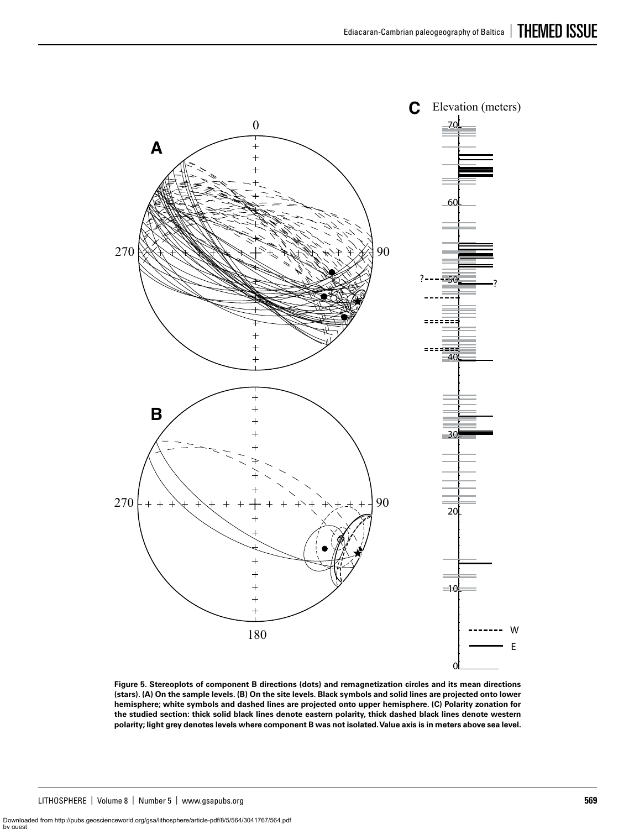

**Figure 5. Stereoplots of component B directions (dots) and remagnetization circles and its mean directions (stars). (A) On the sample levels. (B) On the site levels. Black symbols and solid lines are projected onto lower hemisphere; white symbols and dashed lines are projected onto upper hemisphere. (C) Polarity zonation for the studied section: thick solid black lines denote eastern polarity, thick dashed black lines denote western polarity; light grey denotes levels where component B was not isolated. Value axis is in meters above sea level.**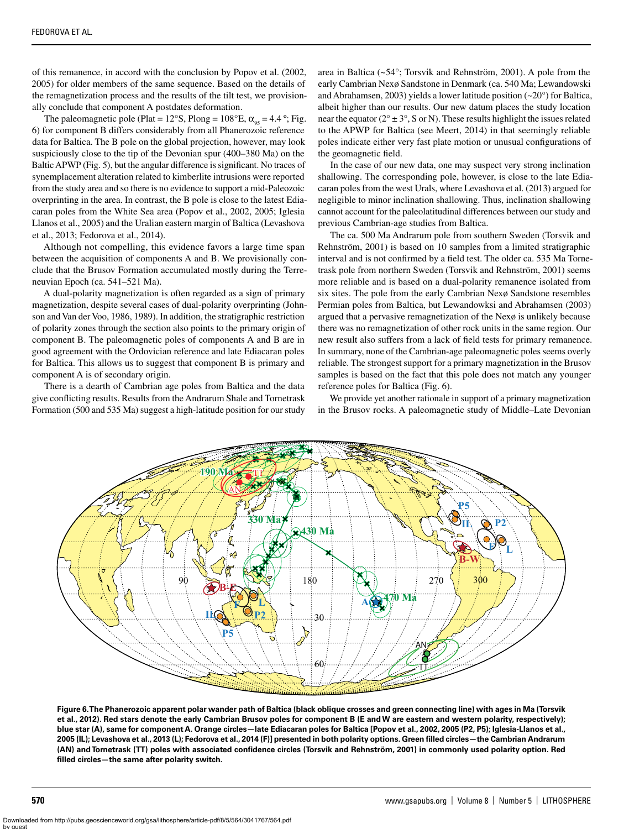of this remanence, in accord with the conclusion by Popov et al. (2002, 2005) for older members of the same sequence. Based on the details of the remagnetization process and the results of the tilt test, we provisionally conclude that component A postdates deformation.

The paleomagnetic pole (Plat =  $12^{\circ}$ S, Plong =  $108^{\circ}$ E,  $\alpha_{0.5}$  = 4.4 °; Fig. 6) for component B differs considerably from all Phanerozoic reference data for Baltica. The B pole on the global projection, however, may look suspiciously close to the tip of the Devonian spur (400–380 Ma) on the Baltic APWP (Fig. 5), but the angular difference is significant. No traces of synemplacement alteration related to kimberlite intrusions were reported from the study area and so there is no evidence to support a mid-Paleozoic overprinting in the area. In contrast, the B pole is close to the latest Ediacaran poles from the White Sea area (Popov et al., 2002, 2005; Iglesia Llanos et al., 2005) and the Uralian eastern margin of Baltica (Levashova et al., 2013; Fedorova et al., 2014).

Although not compelling, this evidence favors a large time span between the acquisition of components A and B. We provisionally conclude that the Brusov Formation accumulated mostly during the Terreneuvian Epoch (ca. 541–521 Ma).

A dual-polarity magnetization is often regarded as a sign of primary magnetization, despite several cases of dual-polarity overprinting (Johnson and Van der Voo, 1986, 1989). In addition, the stratigraphic restriction of polarity zones through the section also points to the primary origin of component B. The paleomagnetic poles of components A and B are in good agreement with the Ordovician reference and late Ediacaran poles for Baltica. This allows us to suggest that component B is primary and component A is of secondary origin.

There is a dearth of Cambrian age poles from Baltica and the data give conflicting results. Results from the Andrarum Shale and Tornetrask Formation (500 and 535 Ma) suggest a high-latitude position for our study

area in Baltica (~54°; Torsvik and Rehnström, 2001). A pole from the early Cambrian Nexø Sandstone in Denmark (ca. 540 Ma; Lewandowski and Abrahamsen, 2003) yields a lower latitude position (~20°) for Baltica, albeit higher than our results. Our new datum places the study location near the equator ( $2^{\circ} \pm 3^{\circ}$ , S or N). These results highlight the issues related to the APWP for Baltica (see Meert, 2014) in that seemingly reliable poles indicate either very fast plate motion or unusual configurations of the geomagnetic field.

In the case of our new data, one may suspect very strong inclination shallowing. The corresponding pole, however, is close to the late Ediacaran poles from the west Urals, where Levashova et al. (2013) argued for negligible to minor inclination shallowing. Thus, inclination shallowing cannot account for the paleolatitudinal differences between our study and previous Cambrian-age studies from Baltica.

The ca. 500 Ma Andrarum pole from southern Sweden (Torsvik and Rehnström, 2001) is based on 10 samples from a limited stratigraphic interval and is not confirmed by a field test. The older ca. 535 Ma Tornetrask pole from northern Sweden (Torsvik and Rehnström, 2001) seems more reliable and is based on a dual-polarity remanence isolated from six sites. The pole from the early Cambrian Nexø Sandstone resembles Permian poles from Baltica, but Lewandowksi and Abrahamsen (2003) argued that a pervasive remagnetization of the Nexø is unlikely because there was no remagnetization of other rock units in the same region. Our new result also suffers from a lack of field tests for primary remanence. In summary, none of the Cambrian-age paleomagnetic poles seems overly reliable. The strongest support for a primary magnetization in the Brusov samples is based on the fact that this pole does not match any younger reference poles for Baltica (Fig. 6).

We provide yet another rationale in support of a primary magnetization in the Brusov rocks. A paleomagnetic study of Middle–Late Devonian



**Figure 6. The Phanerozoic apparent polar wander path of Baltica (black oblique crosses and green connecting line) with ages in Ma (Torsvik et al., 2012). Red stars denote the early Cambrian Brusov poles for component B (E and W are eastern and western polarity, respectively); blue star (A), same for component A. Orange circles—late Ediacaran poles for Baltica [Popov et al., 2002, 2005 (P2, P5); Iglesia-Llanos et al., 2005 (IL); Levashova et al., 2013 (L); Fedorova et al., 2014 (F)] presented in both polarity options. Green filled circles—the Cambrian Andrarum (AN) and Tornetrask (TT) poles with associated confidence circles (Torsvik and Rehnström, 2001) in commonly used polarity option. Red filled circles—the same after polarity switch.**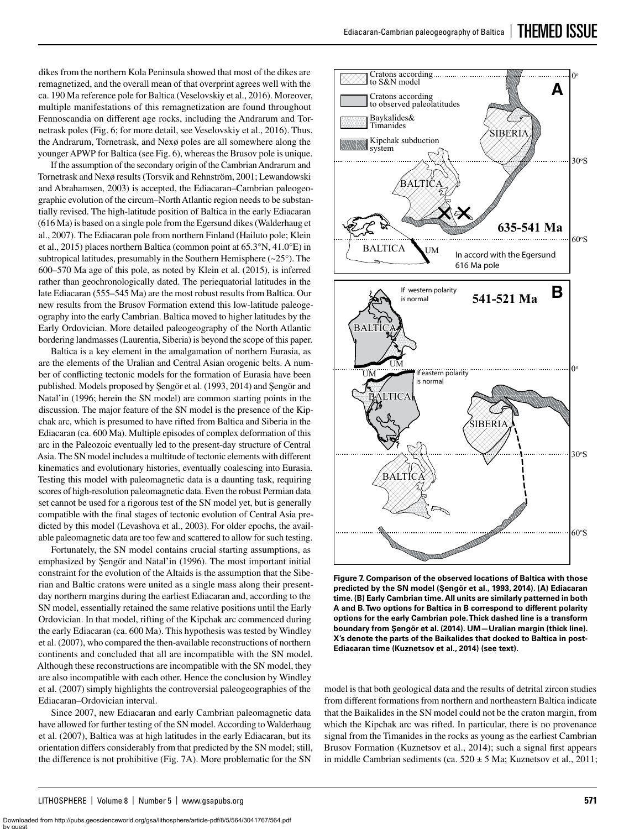dikes from the northern Kola Peninsula showed that most of the dikes are remagnetized, and the overall mean of that overprint agrees well with the ca. 190 Ma reference pole for Baltica (Veselovskiy et al., 2016). Moreover, multiple manifestations of this remagnetization are found throughout Fennoscandia on different age rocks, including the Andrarum and Tornetrask poles (Fig. 6; for more detail, see Veselovskiy et al., 2016). Thus, the Andrarum, Tornetrask, and Nexø poles are all somewhere along the younger APWP for Baltica (see Fig. 6), whereas the Brusov pole is unique.

If the assumption of the secondary origin of the Cambrian Andrarum and Tornetrask and Nexø results (Torsvik and Rehnström, 2001; Lewandowski and Abrahamsen, 2003) is accepted, the Ediacaran–Cambrian paleogeographic evolution of the circum–North Atlantic region needs to be substantially revised. The high-latitude position of Baltica in the early Ediacaran (616 Ma) is based on a single pole from the Egersund dikes (Walderhaug et al., 2007). The Ediacaran pole from northern Finland (Hailuto pole; Klein et al., 2015) places northern Baltica (common point at 65.3°N, 41.0°E) in subtropical latitudes, presumably in the Southern Hemisphere  $(\sim 25^{\circ})$ . The 600–570 Ma age of this pole, as noted by Klein et al. (2015), is inferred rather than geochronologically dated. The periequatorial latitudes in the late Ediacaran (555–545 Ma) are the most robust results from Baltica. Our new results from the Brusov Formation extend this low-latitude paleogeography into the early Cambrian. Baltica moved to higher latitudes by the Early Ordovician. More detailed paleogeography of the North Atlantic bordering landmasses (Laurentia, Siberia) is beyond the scope of this paper.

Baltica is a key element in the amalgamation of northern Eurasia, as are the elements of the Uralian and Central Asian orogenic belts. A number of conflicting tectonic models for the formation of Eurasia have been published. Models proposed by Şengör et al. (1993, 2014) and Şengör and Natal'in (1996; herein the SN model) are common starting points in the discussion. The major feature of the SN model is the presence of the Kipchak arc, which is presumed to have rifted from Baltica and Siberia in the Ediacaran (ca. 600 Ma). Multiple episodes of complex deformation of this arc in the Paleozoic eventually led to the present-day structure of Central Asia. The SN model includes a multitude of tectonic elements with different kinematics and evolutionary histories, eventually coalescing into Eurasia. Testing this model with paleomagnetic data is a daunting task, requiring scores of high-resolution paleomagnetic data. Even the robust Permian data set cannot be used for a rigorous test of the SN model yet, but is generally compatible with the final stages of tectonic evolution of Central Asia predicted by this model (Levashova et al., 2003). For older epochs, the available paleomagnetic data are too few and scattered to allow for such testing.

Fortunately, the SN model contains crucial starting assumptions, as emphasized by Şengör and Natal'in (1996). The most important initial constraint for the evolution of the Altaids is the assumption that the Siberian and Baltic cratons were united as a single mass along their presentday northern margins during the earliest Ediacaran and, according to the SN model, essentially retained the same relative positions until the Early Ordovician. In that model, rifting of the Kipchak arc commenced during the early Ediacaran (ca. 600 Ma). This hypothesis was tested by Windley et al. (2007), who compared the then-available reconstructions of northern continents and concluded that all are incompatible with the SN model. Although these reconstructions are incompatible with the SN model, they are also incompatible with each other. Hence the conclusion by Windley et al. (2007) simply highlights the controversial paleogeographies of the Ediacaran–Ordovician interval.

Since 2007, new Ediacaran and early Cambrian paleomagnetic data have allowed for further testing of the SN model. According to Walderhaug et al. (2007), Baltica was at high latitudes in the early Ediacaran, but its orientation differs considerably from that predicted by the SN model; still, the difference is not prohibitive (Fig. 7A). More problematic for the SN



**Figure 7. Comparison of the observed locations of Baltica with those predicted by the SN model (Şengör et al., 1993, 2014). (A) Ediacaran time. (B) Early Cambrian time. All units are similarly patterned in both A and B. Two options for Baltica in B correspond to different polarity options for the early Cambrian pole. Thick dashed line is a transform boundary from Şengör et al. (2014). UM—Uralian margin (thick line). X's denote the parts of the Baikalides that docked to Baltica in post-Ediacaran time (Kuznetsov et al., 2014) (see text).**

model is that both geological data and the results of detrital zircon studies from different formations from northern and northeastern Baltica indicate that the Baikalides in the SN model could not be the craton margin, from which the Kipchak arc was rifted. In particular, there is no provenance signal from the Timanides in the rocks as young as the earliest Cambrian Brusov Formation (Kuznetsov et al., 2014); such a signal first appears in middle Cambrian sediments (ca.  $520 \pm 5$  Ma; Kuznetsov et al., 2011;

Downloaded from http://pubs.geoscienceworld.org/gsa/lithosphere/article-pdf/8/5/564/3041767/564.pdf by guest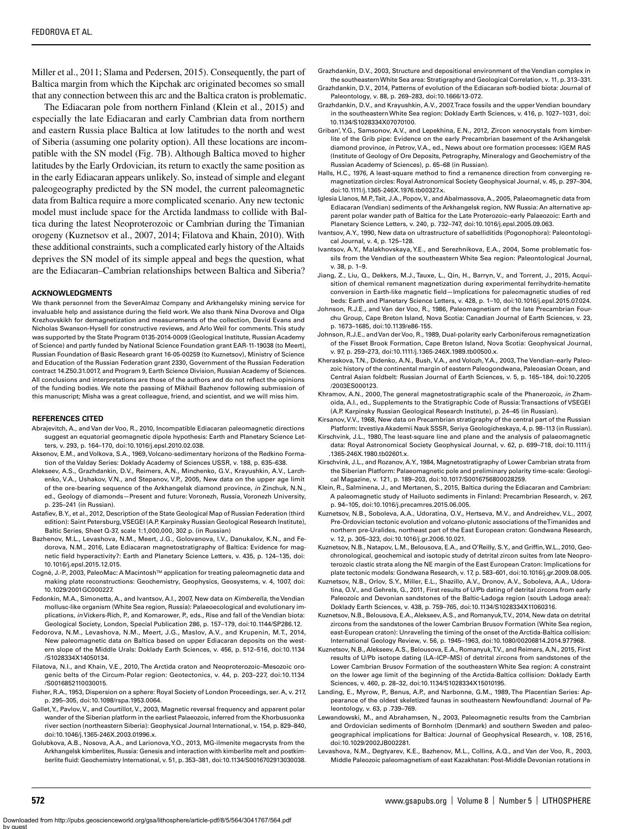Miller et al., 2011; Slama and Pedersen, 2015). Consequently, the part of Baltica margin from which the Kipchak arc originated becomes so small that any connection between this arc and the Baltica craton is problematic.

The Ediacaran pole from northern Finland (Klein et al., 2015) and especially the late Ediacaran and early Cambrian data from northern and eastern Russia place Baltica at low latitudes to the north and west of Siberia (assuming one polarity option). All these locations are incompatible with the SN model (Fig. 7B). Although Baltica moved to higher latitudes by the Early Ordovician, its return to exactly the same position as in the early Ediacaran appears unlikely. So, instead of simple and elegant paleogeography predicted by the SN model, the current paleomagnetic data from Baltica require a more complicated scenario. Any new tectonic model must include space for the Arctida landmass to collide with Baltica during the latest Neoproterozoic or Cambrian during the Timanian orogeny (Kuznetsov et al., 2007, 2014; Filatova and Khain, 2010). With these additional constraints, such a complicated early history of the Altaids deprives the SN model of its simple appeal and begs the question, what are the Ediacaran–Cambrian relationships between Baltica and Siberia?

#### **ACKNOWLEDGMENTS**

We thank personnel from the SeverAlmaz Company and Arkhangelsky mining service for invaluable help and assistance during the field work. We also thank Nina Dvorova and Olga Krezhovskikh for demagnetization and measurements of the collection, David Evans and Nicholas Swanson-Hysell for constructive reviews, and Arlo Weil for comments. This study was supported by the State Program 0135-2014-0009 (Geological Institute, Russian Academy of Science) and partly funded by National Science Foundation grant EAR-11-19038 (to Meert), Russian Foundation of Basic Research grant 16-05-00259 (to Kuznetsov), Ministry of Science and Education of the Russian Federation grant 2330, Government of the Russian Federation contract 14.Z50.31.0017, and Program 9, Earth Science Division, Russian Academy of Sciences. All conclusions and interpretations are those of the authors and do not reflect the opinions of the funding bodies. We note the passing of Mikhail Bazhenov following submission of this manuscript; Misha was a great colleague, friend, and scientist, and we will miss him.

#### **REFERENCES CITED**

- Abrajevitch, A., and Van der Voo, R., 2010, Incompatible Ediacaran paleomagnetic directions suggest an equatorial geomagnetic dipole hypothesis: Earth and Planetary Science Letters, v. 293, p. 164–170, doi:10.1016/j.epsl.2010.02.038.
- Aksenov, E.M., and Volkova, S.A., 1969, Volcano-sedimentary horizons of the Redkino Formation of the Valday Series: Doklady Academy of Sciences USSR, v. 188, p. 635–638.
- Alekseev, A.S., Grazhdankin, D.V., Reimers, A.N., Minchenko, G.V., Krayushkin, A.V., Larchenko, V.A., Ushakov, V.N., and Stepanov, V.P., 2005, New data on the upper age limit of the ore-bearing sequence of the Arkhangelsk diamond province, *in* Zinchuk, N.N., ed., Geology of diamonds—Present and future: Voronezh, Russia, Voronezh University, p. 235–241 (in Russian).
- Astafiev, B.Y., et al., 2012, Description of the State Geological Map of Russian Federation (third edition): Saint Petersburg, VSEGEI (A.P. Karpinsky Russian Geological Research Institute), Baltic Series, Sheet Q-37, scale 1:1,000,000, 302 p. (in Russian)
- Bazhenov, M.L., Levashova, N.M., Meert, J.G., Golovanova, I.V., Danukalov, K.N., and Fedorova, N.M., 2016, Late Ediacaran magnetostratigraphy of Baltica: Evidence for magnetic field hyperactivity?: Earth and Planetary Science Letters, v. 435, p. 124–135, doi: 10.1016/j.epsl.2015.12.015.
- Cogné, J.-P., 2003, PaleoMac: A MacintoshTM application for treating paleomagnetic data and making plate reconstructions: Geochemistry, Geophysics, Geosystems, v. 4, 1007, doi: 10.1029/2001GC000227.
- Fedonkin, M.A., Simonetta, A., and Ivantsov, A.I., 2007, New data on *Kimberella*, the Vendian mollusc-like organism (White Sea region, Russia): Palaeoecological and evolutionary implications, *in* Vickers-Rich, P., and Komarower, P., eds., Rise and fall of the Vendian biota: Geological Society, London, Special Publication 286, p. 157–179, doi:10.1144/SP286.12.
- Fedorova, N.M., Levashova, N.M., Meert, J.G., Maslov, A.V., and Krupenin, M.T., 2014, New paleomagnetic data on Baltica based on upper Ediacaran deposits on the western slope of the Middle Urals: Doklady Earth Sciences, v. 456, p. 512–516, doi:10.1134 /S1028334X14050134.
- Filatova, N.I., and Khain, V.E., 2010, The Arctida craton and Neoproterozoic–Mesozoic orogenic belts of the Circum-Polar region: Geotectonics, v. 44, p. 203–227, doi:10.1134 /S0016852110030015.
- Fisher, R.A., 1953, Dispersion on a sphere: Royal Society of London Proceedings, ser. A, v. 217, p. 295–305, doi:10.1098/rspa.1953.0064.
- Gallet, Y., Pavlov, V., and Courtillot, V., 2003, Magnetic reversal frequency and apparent polar wander of the Siberian platform in the earliest Palaeozoic, inferred from the Khorbusuonka river section (northeastern Siberia): Geophysical Journal International, v. 154, p. 829–840, doi:10.1046/j.1365-246X.2003.01996.x.
- Golubkova, A.B., Nosova, A.A., and Larionova, Y.O., 2013, MG-ilmenite megacrysts from the Arkhangelsk kimberlites, Russia: Genesis and interaction with kimberlite melt and postkimberlite fluid: Geochemistry International, v. 51, p. 353–381, doi:10.1134/S0016702913030038.

Grazhdankin, D.V., 2003, Structure and depositional environment of the Vendian complex in the southeastern White Sea area: Stratigraphy and Geological Correlation, v. 11, p. 313–331.

- Grazhdankin, D.V., 2014, Patterns of evolution of the Ediacaran soft-bodied biota: Journal of Paleontology, v. 88, p. 269–283, doi:10.1666/13-072.
- Grazhdankin, D.V., and Krayushkin, A.V., 2007, Trace fossils and the upper Vendian boundary in the southeastern White Sea region: Doklady Earth Sciences, v. 416, p. 1027–1031, doi: 10.1134/S1028334X07070100.
- Griban', Y.G., Samsonov, A.V., and Lepekhina, E.N., 2012, Zircon xenocrystals from kimberlite of the Grib pipe: Evidence on the early Precambrian basement of the Arkhangelsk diamond province, *in* Petrov, V.A., ed., News about ore formation processes: IGEM RAS (Institute of Geology of Ore Deposits, Petrography, Mineralogy and Geochemistry of the Russian Academy of Sciences), p. 65–68 (in Russian).
- Halls, H.C., 1976, A least-square method to find a remanence direction from converging remagnetization circles: Royal Astronomical Society Geophysical Journal, v. 45, p. 297–304, doi:10.1111/j.1365-246X.1976.tb00327.x.
- Iglesia Llanos, M.P., Tait, J.A., Popov, V., and Abalmassova, A., 2005, Palaeomagnetic data from Ediacaran (Vendian) sediments of the Arkhangelsk region, NW Russia: An alternative apparent polar wander path of Baltica for the Late Proterozoic–early Palaeozoic: Earth and Planetary Science Letters, v. 240, p. 732–747, doi:10.1016/j.epsl.2005.09.063.
- Ivantsov, A.Y., 1990, New data on ultrastructure of sabelliditids (Pogonophora): Paleontological Journal, v. 4, p. 125–128.
- Ivantsov, A.Y., Malakhovskaya, Y.E., and Serezhnikova, E.A., 2004, Some problematic fossils from the Vendian of the southeastern White Sea region: Paleontological Journal, v. 38, p. 1–9.
- Jiang, Z., Liu, Q., Dekkers, M.J., Tauxe, L., Qin, H., Barryn, V., and Torrent, J., 2015, Acquisition of chemical remanent magnetization during experimental ferrihydrite-hematite conversion in Earth-like magnetic field—Implications for paleomagnetic studies of red beds: Earth and Planetary Science Letters, v. 428, p. 1–10, doi:10.1016/j.epsl.2015.07.024.
- Johnson, R.J.E., and Van der Voo, R., 1986, Paleomagnetism of the late Precambrian Fourchu Group, Cape Breton Island, Nova Scotia: Canadian Journal of Earth Sciences, v. 23, p. 1673–1685, doi:10.1139/e86-155.
- Johnson, R.J.E., and Van der Voo, R., 1989, Dual-polarity early Carboniferous remagnetization of the Fisset Brook Formation, Cape Breton Island, Nova Scotia: Geophysical Journal, v. 97, p. 259–273, doi:10.1111/j.1365-246X.1989.tb00500.x.
- Kheraskova, T.N., Didenko, A.N., Bush, V.A., and Volozh, Y.A., 2003, The Vendian–early Paleozoic history of the continental margin of eastern Paleogondwana, Paleoasian Ocean, and Central Asian foldbelt: Russian Journal of Earth Sciences, v. 5, p. 165–184, doi:10.2205 /2003ES000123.
- Khramov, A.N., 2000, The general magnetostratigraphic scale of the Phanerozoic, *in* Zhamoida, A.I., ed., Supplements to the Stratigraphic Code of Russia: Transactions of VSEGEI (A.P. Karpinsky Russian Geological Research Institute), p. 24–45 (in Russian).
- Kirsanov, V.V., 1968, New data on Precambrian stratigraphy of the central part of the Russian Platform: Izvestiya Akademii Nauk SSSR, Seriya Geologicheskaya, 4, p. 98–113 (in Russian).
- Kirschvink, J.L., 1980, The least-square line and plane and the analysis of palaeomagnetic data: Royal Astronomical Society Geophysical Journal, v. 62, p. 699–718, doi:10.1111/j .1365-246X.1980.tb02601.x.
- Kirschvink, J.L., and Rozanov, A.Y., 1984, Magnetostratigraphy of Lower Cambrian strata from the Siberian Platform: Palaeomagnetic pole and preliminary polarity time-scale: Geological Magazine, v. 121, p. 189–203, doi:10.1017/S0016756800028259.
- Klein, R., Salminena, J., and Mertanen, S., 2015, Baltica during the Ediacaran and Cambrian: A paleomagnetic study of Hailuoto sediments in Finland: Precambrian Research, v. 267, p. 94–105, doi:10.1016/j.precamres.2015.06.005.
- Kuznetsov, N.B., Soboleva, A.A., Udoratina, O.V., Hertseva, M.V., and Andreichev, V.L., 2007, Pre-Ordovician tectonic evolution and volcano-plutonic associations of the Timanides and northern pre-Uralides, northeast part of the East European craton: Gondwana Research, v. 12, p. 305–323, doi:10.1016/j.gr.2006.10.021.
- Kuznetsov, N.B., Natapov, L.M., Belousova, E.A., and O'Reilly, S.Y., and Griffin, W.L., 2010, Geochronological, geochemical and isotopic study of detrital zircon suites from late Neoproterozoic clastic strata along the NE margin of the East European Craton: Implications for plate tectonic models: Gondwana Research, v. 17, p. 583–601, doi:10.1016/j.gr.2009.08.005.
- Kuznetsov, N.B., Orlov, S.Y., Miller, E.L., Shazillo, A.V., Dronov, A.V., Soboleva, A.A., Udoratina, O.V., and Gehrels, G., 2011, First results of U/Pb dating of detrital zircons from early Paleozoic and Devonian sandstones of the Baltic-Ladoga region (south Ladoga area): Doklady Earth Sciences, v. 438, p. 759–765, doi:10.1134/S1028334X11060316.
- Kuznetsov, N.B., Belousova, E.A., Alekseev, A.S., and Romanyuk, T.V., 2014, New data on detrital zircons from the sandstones of the lower Cambrian Brusov Formation (White Sea region, east-European craton): Unraveling the timing of the onset of the Arctida-Baltica collision: International Geology Review, v. 56, p. 1945–1963, doi:10.1080/00206814.2014.977968.
- Kuznetsov, N.B., Alekseev, A.S., Belousova, E.A., Romanyuk, T.V., and Reimers, A.N., 2015, First results of U/Pb isotope dating (LA–ICP–MS) of detrital zircons from sandstones of the Lower Cambrian Brusov Formation of the southeastern White Sea region: A constraint on the lower age limit of the beginning of the Arctida-Baltica collision: Doklady Earth Sciences, v. 460, p. 28–32, doi:10.1134/S1028334X15010195.
- Landing, E., Myrow, P., Benus, A.P., and Narbonne, G.M., 1989, The Placentian Series: Appearance of the oldest skeletized faunas in southeastern Newfoundland: Journal of Paleontology, v. 63, p .739–769.
- Lewandowski, M., and Abrahamsen, N., 2003, Paleomagnetic results from the Cambrian and Ordovician sediments of Bornholm (Denmark) and southern Sweden and paleogeographical implications for Baltica: Journal of Geophysical Research, v. 108, 2516, doi:10.1029/2002JB002281.
- Levashova, N.M., Degtyarev, K.E., Bazhenov, M.L., Collins, A.Q., and Van der Voo, R., 2003, Middle Paleozoic paleomagnetism of east Kazakhstan: Post-Middle Devonian rotations in